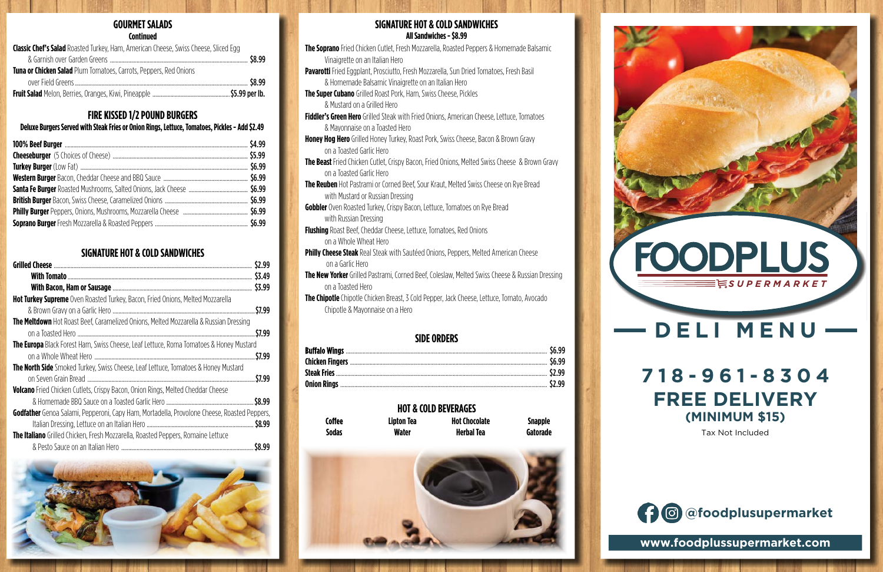# **DEL I M E N U**

# **718-961-830 4 FREE DELIVERY (MINIMUM \$15)**

# ODPLUS *S UPERM A RKE T*

# **www.foodplussupermarket.com**

# **GOURMET SALADS**

**Continued**

| <b>Classic Chef's Salad</b> Roasted Turkey, Ham, American Cheese, Swiss Cheese, Sliced Egg |  |
|--------------------------------------------------------------------------------------------|--|
|                                                                                            |  |
| Tuna or Chicken Salad Plum Tomatoes, Carrots, Peppers, Red Onions                          |  |
|                                                                                            |  |
|                                                                                            |  |

# **FIRE KISSED 1/2 POUND BURGERS**

#### **Deluxe Burgers Served with Steak Fries or Onion Rings,Lettuce,Tomatoes, Pickles - Add \$2.49**

## **SIGNATURE HOT & COLD SANDWICHES**

**The Beast** Fried Chicken Cutlet, Crispy Bacon, Fried Onions, Melted Swiss Cheese & Brown Gravy on a Toasted Garlic Hero

**Gobbler** Oven Roasted Turkey, Crispy Bacon, Lettuce, Tomatoes on Rye Bread with Russian Dressing

**Philly Cheese Steak** Real Steak with Sautéed Onions, Peppers, Melted American Cheese on a Garlic Hero

**The New Yorker** Grilled Pastrami, Corned Beef, Coleslaw, Melted Swiss Cheese & Russian Dressing on a Toasted Hero

|                                                                                                    | \$2.99   |
|----------------------------------------------------------------------------------------------------|----------|
|                                                                                                    | \$3.49   |
|                                                                                                    | \$3.99   |
| Hot Turkey Supreme Oven Roasted Turkey, Bacon, Fried Onions, Melted Mozzarella                     |          |
|                                                                                                    | . \$7.99 |
| <b>The Meltdown</b> Hot Roast Beef, Caramelized Onions, Melted Mozzarella & Russian Dressing       |          |
|                                                                                                    | \$7.99   |
| The Europa Black Forest Ham, Swiss Cheese, Leaf Lettuce, Roma Tomatoes & Honey Mustard             |          |
|                                                                                                    | S7.99    |
| <b>The North Side</b> Smoked Turkey, Swiss Cheese, Leaf Lettuce, Tomatoes & Honey Mustard          |          |
|                                                                                                    | \$7.99   |
| <b>Volcano</b> Fried Chicken Cutlets, Crispy Bacon, Onion Rings, Melted Cheddar Cheese             |          |
|                                                                                                    | \$8.99   |
| <b>Godfather</b> Genoa Salami, Pepperoni, Capy Ham, Mortadella, Provolone Cheese, Roasted Peppers, |          |
|                                                                                                    | \$8.99   |
| <b>The Italiano</b> Grilled Chicken, Fresh Mozzarella, Roasted Peppers, Romaine Lettuce            |          |
|                                                                                                    | \$8.99   |



**Coffee Sodas**

#### **SIGNATURE HOT & COLD SANDWICHES All Sandwiches - \$8.99**

**The Soprano** Fried Chicken Cutlet, Fresh Mozzarella, Roasted Peppers & Homemade Balsamic Vinaigrette on an Italian Hero

**Pavarotti** Fried Eggplant, Prosciutto, Fresh Mozzarella, Sun Dried Tomatoes, Fresh Basil & Homemade Balsamic Vinaigrette on an Italian Hero

**The Super Cubano** Grilled Roast Pork, Ham, Swiss Cheese, Pickles & Mustard on a Grilled Hero

**Fiddler's Green Hero** Grilled Steak with Fried Onions, American Cheese, Lettuce, Tomatoes & Mayonnaise on a Toasted Hero

**Honey Hog Hero** Grilled Honey Turkey, Roast Pork, Swiss Cheese, Bacon & Brown Gravy on a Toasted Garlic Hero

**The Reuben** Hot Pastrami or Corned Beef, Sour Kraut, Melted Swiss Cheese on Rye Bread with Mustard or Russian Dressing

**Flushing** Roast Beef, Cheddar Cheese, Lettuce, Tomatoes, Red Onions on a Whole Wheat Hero

Tax Not Included

**The Chipotle** Chipotle Chicken Breast, 3 Cold Pepper, Jack Cheese, Lettuce, Tomato, Avocado Chipotle & Mayonnaise on a Hero

# **SIDE ORDERS**

#### **HOT & COLD BEVERAGES Lipton Tea**

**Water**

**Hot Chocolate Herbal Tea**

**Snapple Gatorade**



**@foodplusupermarket**